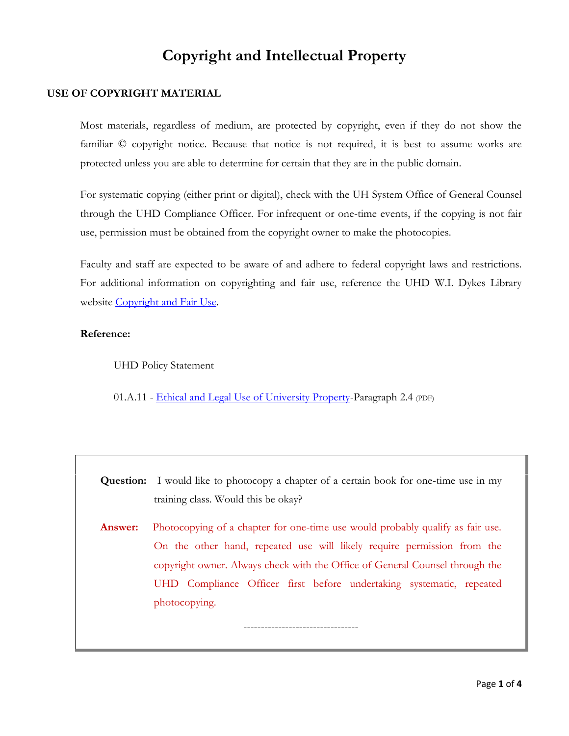# **Copyright and Intellectual Property**

## **USE OF COPYRIGHT MATERIAL**

Most materials, regardless of medium, are protected by copyright, even if they do not show the familiar © copyright notice. Because that notice is not required, it is best to assume works are protected unless you are able to determine for certain that they are in the public domain.

For systematic copying (either print or digital), check with the UH System Office of General Counsel through the UHD Compliance Officer. For infrequent or one-time events, if the copying is not fair use, permission must be obtained from the copyright owner to make the photocopies.

Faculty and staff are expected to be aware of and adhere to federal copyright laws and restrictions. For additional information on copyrighting and fair use, reference the UHD W.I. Dykes Library website [Copyright and Fair Use.](http://www.uhd.edu/library/guides/copyright.html)

### **Reference:**

UHD Policy Statement

01.A.11 - [Ethical and Legal Use of University Property-](http://www.uhd.edu/about/hr/PS01A11.pdf)Paragraph 2.4 (PDF)

**Question:** I would like to photocopy a chapter of a certain book for one-time use in my training class. Would this be okay?

**Answer:** Photocopying of a chapter for one-time use would probably qualify as fair use. On the other hand, repeated use will likely require permission from the copyright owner. Always check with the Office of General Counsel through the UHD Compliance Officer first before undertaking systematic, repeated photocopying.

---------------------------------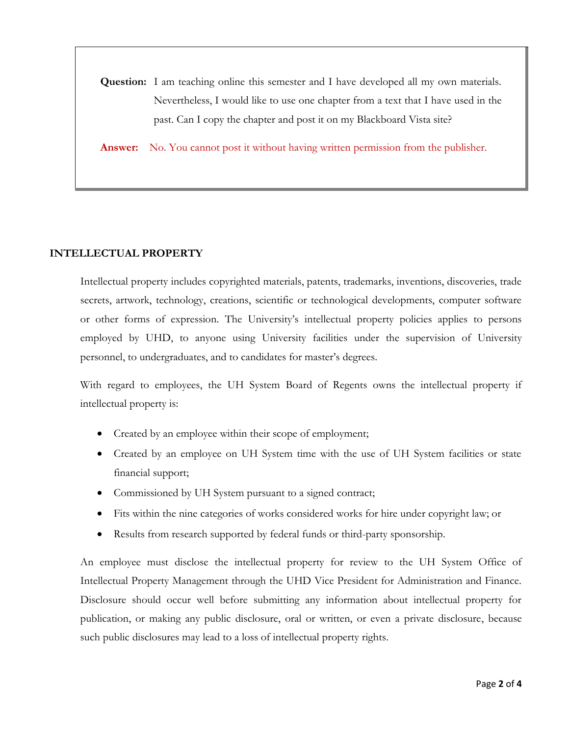**Question:** I am teaching online this semester and I have developed all my own materials. Nevertheless, I would like to use one chapter from a text that I have used in the past. Can I copy the chapter and post it on my Blackboard Vista site?

**Answer:** No. You cannot post it without having written permission from the publisher.

#### **INTELLECTUAL PROPERTY**

Intellectual property includes copyrighted materials, patents, trademarks, inventions, discoveries, trade secrets, artwork, technology, creations, scientific or technological developments, computer software or other forms of expression. The University's intellectual property policies applies to persons employed by UHD, to anyone using University facilities under the supervision of University personnel, to undergraduates, and to candidates for master's degrees.

With regard to employees, the UH System Board of Regents owns the intellectual property if intellectual property is:

- Created by an employee within their scope of employment;
- Created by an employee on UH System time with the use of UH System facilities or state financial support;
- Commissioned by UH System pursuant to a signed contract;
- Fits within the nine categories of works considered works for hire under copyright law; or
- Results from research supported by federal funds or third-party sponsorship.

An employee must disclose the intellectual property for review to the UH System Office of Intellectual Property Management through the UHD Vice President for Administration and Finance. Disclosure should occur well before submitting any information about intellectual property for publication, or making any public disclosure, oral or written, or even a private disclosure, because such public disclosures may lead to a loss of intellectual property rights.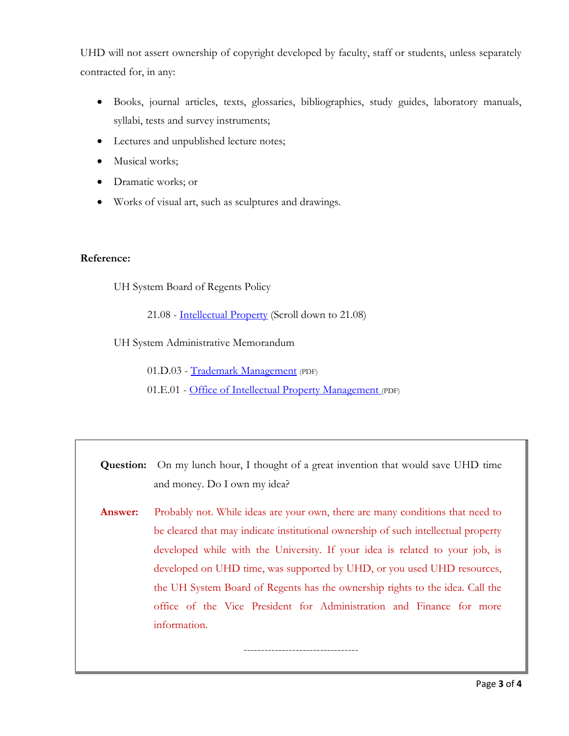UHD will not assert ownership of copyright developed by faculty, staff or students, unless separately contracted for, in any:

- Books, journal articles, texts, glossaries, bibliographies, study guides, laboratory manuals, syllabi, tests and survey instruments;
- Lectures and unpublished lecture notes;
- Musical works;
- Dramatic works; or
- Works of visual art, such as sculptures and drawings.

### **Reference:**

UH System Board of Regents Policy

21.08 - [Intellectual Property](http://www.uhsa.uh.edu/board-of-regents/policies/index.php) (Scroll down to 21.08)

UH System Administrative Memorandum

01.D.03 - [Trademark Management](http://www.uh.edu/af/universityservices/policies/sam/1GenAdmin/1D3.pdf) (PDF)

01.E.01 - [Office of Intellectual Property Management](http://www.uh.edu/af/universityservices/policies/sam/1GenAdmin/1E1.pdf) (PDF)

**Question:** On my lunch hour, I thought of a great invention that would save UHD time and money. Do I own my idea?

**Answer:** Probably not. While ideas are your own, there are many conditions that need to be cleared that may indicate institutional ownership of such intellectual property developed while with the University. If your idea is related to your job, is developed on UHD time, was supported by UHD, or you used UHD resources, the UH System Board of Regents has the ownership rights to the idea. Call the office of the Vice President for Administration and Finance for more information.

---------------------------------